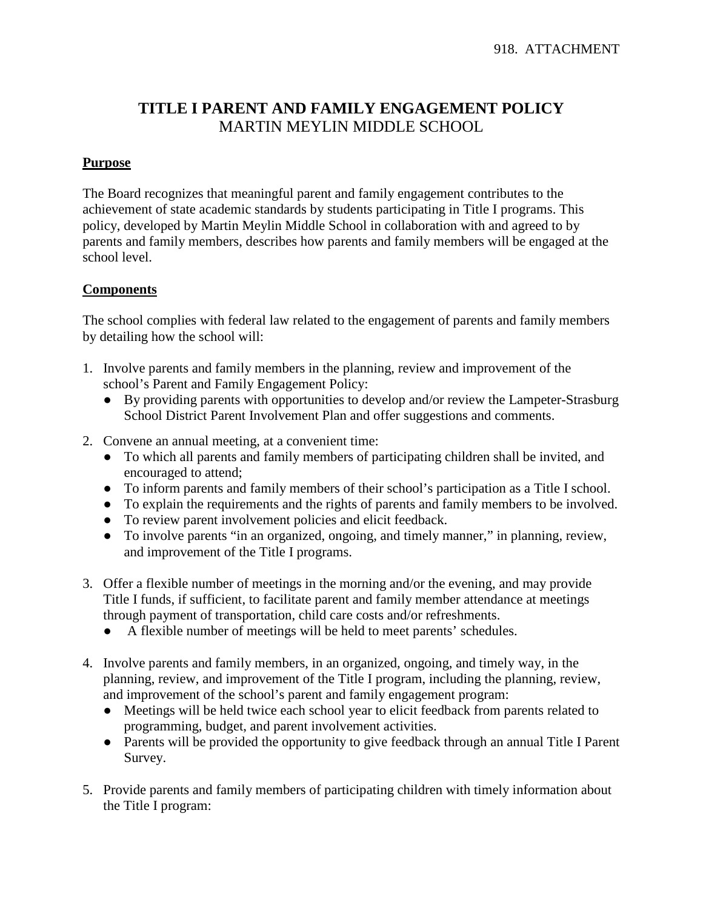## **TITLE I PARENT AND FAMILY ENGAGEMENT POLICY** MARTIN MEYLIN MIDDLE SCHOOL

## **Purpose**

The Board recognizes that meaningful parent and family engagement contributes to the achievement of state academic standards by students participating in Title I programs. This policy, developed by Martin Meylin Middle School in collaboration with and agreed to by parents and family members, describes how parents and family members will be engaged at the school level.

## **Components**

The school complies with federal law related to the engagement of parents and family members by detailing how the school will:

- 1. Involve parents and family members in the planning, review and improvement of the school's Parent and Family Engagement Policy:
	- By providing parents with opportunities to develop and/or review the Lampeter-Strasburg School District Parent Involvement Plan and offer suggestions and comments.
- 2. Convene an annual meeting, at a convenient time:
	- To which all parents and family members of participating children shall be invited, and encouraged to attend;
	- To inform parents and family members of their school's participation as a Title I school.
	- To explain the requirements and the rights of parents and family members to be involved.
	- To review parent involvement policies and elicit feedback.
	- To involve parents "in an organized, ongoing, and timely manner," in planning, review, and improvement of the Title I programs.
- 3. Offer a flexible number of meetings in the morning and/or the evening, and may provide Title I funds, if sufficient, to facilitate parent and family member attendance at meetings through payment of transportation, child care costs and/or refreshments.
	- A flexible number of meetings will be held to meet parents' schedules.
- 4. Involve parents and family members, in an organized, ongoing, and timely way, in the planning, review, and improvement of the Title I program, including the planning, review, and improvement of the school's parent and family engagement program:
	- Meetings will be held twice each school year to elicit feedback from parents related to programming, budget, and parent involvement activities.
	- Parents will be provided the opportunity to give feedback through an annual Title I Parent Survey.
- 5. Provide parents and family members of participating children with timely information about the Title I program: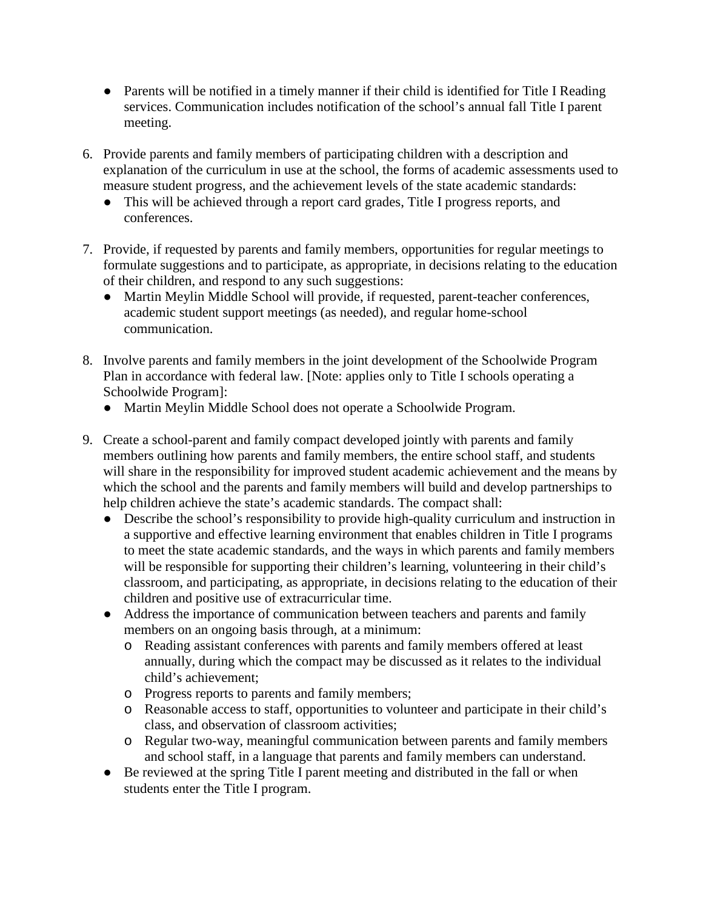- Parents will be notified in a timely manner if their child is identified for Title I Reading services. Communication includes notification of the school's annual fall Title I parent meeting.
- 6. Provide parents and family members of participating children with a description and explanation of the curriculum in use at the school, the forms of academic assessments used to measure student progress, and the achievement levels of the state academic standards:
	- This will be achieved through a report card grades, Title I progress reports, and conferences.
- 7. Provide, if requested by parents and family members, opportunities for regular meetings to formulate suggestions and to participate, as appropriate, in decisions relating to the education of their children, and respond to any such suggestions:
	- Martin Meylin Middle School will provide, if requested, parent-teacher conferences, academic student support meetings (as needed), and regular home-school communication.
- 8. Involve parents and family members in the joint development of the Schoolwide Program Plan in accordance with federal law. [Note: applies only to Title I schools operating a Schoolwide Program]:
	- Martin Meylin Middle School does not operate a Schoolwide Program.
- 9. Create a school-parent and family compact developed jointly with parents and family members outlining how parents and family members, the entire school staff, and students will share in the responsibility for improved student academic achievement and the means by which the school and the parents and family members will build and develop partnerships to help children achieve the state's academic standards. The compact shall:
	- Describe the school's responsibility to provide high-quality curriculum and instruction in a supportive and effective learning environment that enables children in Title I programs to meet the state academic standards, and the ways in which parents and family members will be responsible for supporting their children's learning, volunteering in their child's classroom, and participating, as appropriate, in decisions relating to the education of their children and positive use of extracurricular time.
	- Address the importance of communication between teachers and parents and family members on an ongoing basis through, at a minimum:
		- o Reading assistant conferences with parents and family members offered at least annually, during which the compact may be discussed as it relates to the individual child's achievement;
		- o Progress reports to parents and family members;
		- o Reasonable access to staff, opportunities to volunteer and participate in their child's class, and observation of classroom activities;
		- o Regular two-way, meaningful communication between parents and family members and school staff, in a language that parents and family members can understand.
	- Be reviewed at the spring Title I parent meeting and distributed in the fall or when students enter the Title I program.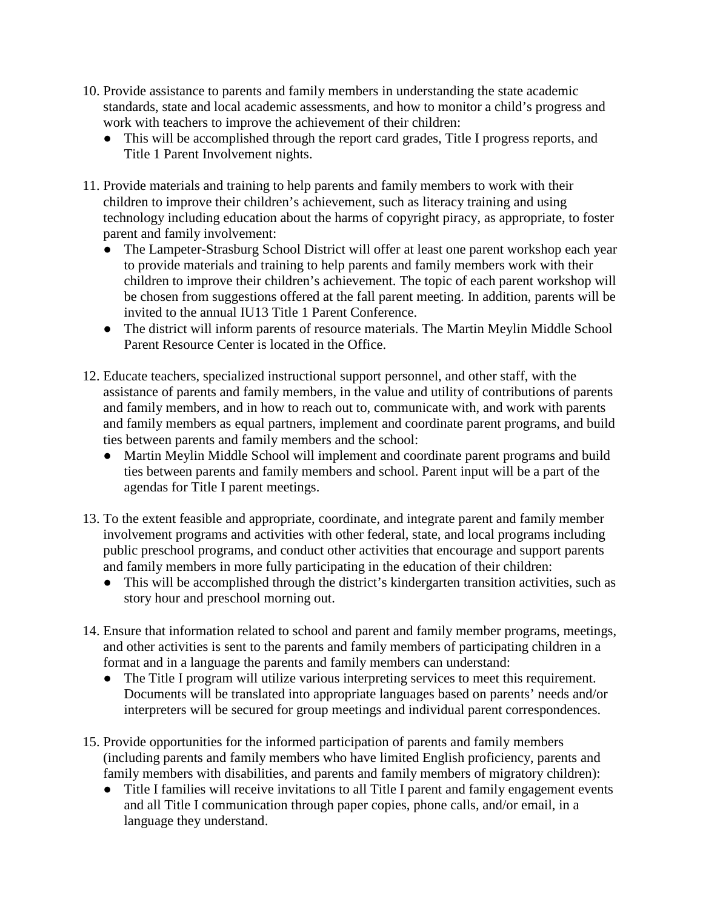- 10. Provide assistance to parents and family members in understanding the state academic standards, state and local academic assessments, and how to monitor a child's progress and work with teachers to improve the achievement of their children:
	- This will be accomplished through the report card grades, Title I progress reports, and Title 1 Parent Involvement nights.
- 11. Provide materials and training to help parents and family members to work with their children to improve their children's achievement, such as literacy training and using technology including education about the harms of copyright piracy, as appropriate, to foster parent and family involvement:
	- The Lampeter-Strasburg School District will offer at least one parent workshop each year to provide materials and training to help parents and family members work with their children to improve their children's achievement. The topic of each parent workshop will be chosen from suggestions offered at the fall parent meeting. In addition, parents will be invited to the annual IU13 Title 1 Parent Conference.
	- The district will inform parents of resource materials. The Martin Meylin Middle School Parent Resource Center is located in the Office.
- 12. Educate teachers, specialized instructional support personnel, and other staff, with the assistance of parents and family members, in the value and utility of contributions of parents and family members, and in how to reach out to, communicate with, and work with parents and family members as equal partners, implement and coordinate parent programs, and build ties between parents and family members and the school:
	- Martin Meylin Middle School will implement and coordinate parent programs and build ties between parents and family members and school. Parent input will be a part of the agendas for Title I parent meetings.
- 13. To the extent feasible and appropriate, coordinate, and integrate parent and family member involvement programs and activities with other federal, state, and local programs including public preschool programs, and conduct other activities that encourage and support parents and family members in more fully participating in the education of their children:
	- This will be accomplished through the district's kindergarten transition activities, such as story hour and preschool morning out.
- 14. Ensure that information related to school and parent and family member programs, meetings, and other activities is sent to the parents and family members of participating children in a format and in a language the parents and family members can understand:
	- The Title I program will utilize various interpreting services to meet this requirement. Documents will be translated into appropriate languages based on parents' needs and/or interpreters will be secured for group meetings and individual parent correspondences.
- 15. Provide opportunities for the informed participation of parents and family members (including parents and family members who have limited English proficiency, parents and family members with disabilities, and parents and family members of migratory children):
	- Title I families will receive invitations to all Title I parent and family engagement events and all Title I communication through paper copies, phone calls, and/or email, in a language they understand.